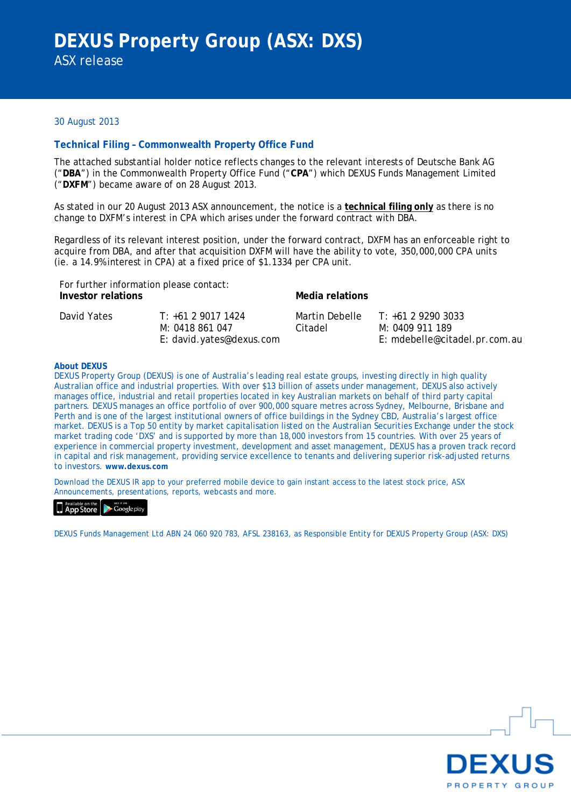## 30 August 2013

### **Technical Filing – Commonwealth Property Office Fund**

The attached substantial holder notice reflects changes to the relevant interests of Deutsche Bank AG ("**DBA**") in the Commonwealth Property Office Fund ("**CPA**") which DEXUS Funds Management Limited ("**DXFM**") became aware of on 28 August 2013.

As stated in our 20 August 2013 ASX announcement, the notice is a **technical filing only** as there is no change to DXFM's interest in CPA which arises under the forward contract with DBA.

Regardless of its relevant interest position, under the forward contract, DXFM has an enforceable right to acquire from DBA, and after that acquisition DXFM will have the ability to vote, 350,000,000 CPA units (ie. a 14.9% interest in CPA) at a fixed price of \$1.1334 per CPA unit.

| For further information please contact:<br>Investor relations |                                                                  | Media relations           |                                                                       |  |
|---------------------------------------------------------------|------------------------------------------------------------------|---------------------------|-----------------------------------------------------------------------|--|
| David Yates                                                   | $T: +61290171424$<br>M: 0418 861 047<br>E: david.yates@dexus.com | Martin Debelle<br>Citadel | $T: +61292903033$<br>M: 0409 911 189<br>E: mdebelle@citadel.pr.com.au |  |

#### **About DEXUS**

DEXUS Property Group (DEXUS) is one of Australia's leading real estate groups, investing directly in high quality Australian office and industrial properties. With over \$13 billion of assets under management, DEXUS also actively manages office, industrial and retail properties located in key Australian markets on behalf of third party capital partners. DEXUS manages an office portfolio of over 900,000 square metres across Sydney, Melbourne, Brisbane and Perth and is one of the largest institutional owners of office buildings in the Sydney CBD, Australia's largest office market. DEXUS is a Top 50 entity by market capitalisation listed on the Australian Securities Exchange under the stock market trading code 'DXS' and is supported by more than 18,000 investors from 15 countries. With over 25 years of experience in commercial property investment, development and asset management, DEXUS has a proven track record in capital and risk management, providing service excellence to tenants and delivering superior risk-adjusted returns to investors. **www.dexus.com**

Download the DEXUS IR app to your preferred mobile device to gain instant access to the latest stock price, ASX Announcements, presentations, reports, webcasts and more.

**App Store** Coogle play

DEXUS Funds Management Ltd ABN 24 060 920 783, AFSL 238163, as Responsible Entity for DEXUS Property Group (ASX: DXS)

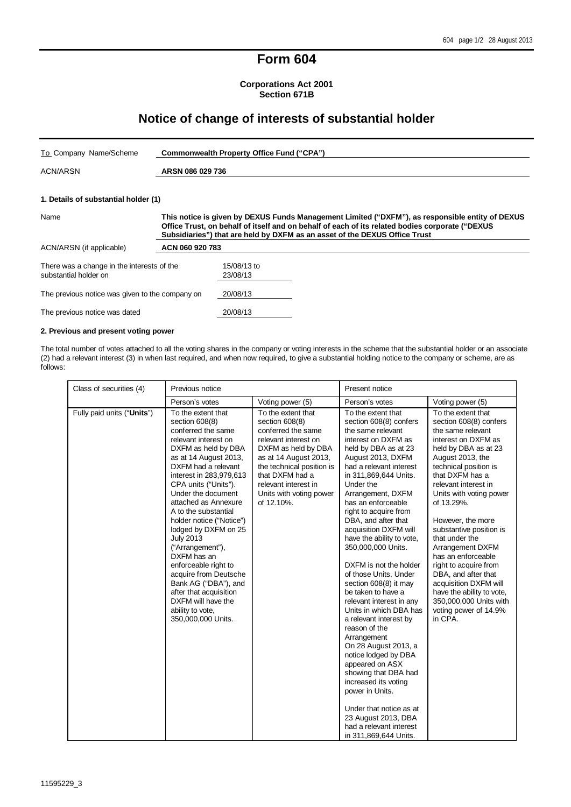# **Form 604**

### **Corporations Act 2001 Section 671B**

# **Notice of change of interests of substantial holder**

| To Company Name/Scheme                                              | Commonwealth Property Office Fund ("CPA")                                                                                                                                                                                                                                        |                         |  |
|---------------------------------------------------------------------|----------------------------------------------------------------------------------------------------------------------------------------------------------------------------------------------------------------------------------------------------------------------------------|-------------------------|--|
| <b>ACN/ARSN</b>                                                     | ARSN 086 029 736                                                                                                                                                                                                                                                                 |                         |  |
| 1. Details of substantial holder (1)                                |                                                                                                                                                                                                                                                                                  |                         |  |
| Name                                                                | This notice is given by DEXUS Funds Management Limited ("DXFM"), as responsible entity of DEXUS<br>Office Trust, on behalf of itself and on behalf of each of its related bodies corporate ("DEXUS<br>Subsidiaries") that are held by DXFM as an asset of the DEXUS Office Trust |                         |  |
| ACN/ARSN (if applicable)                                            | ACN 060 920 783                                                                                                                                                                                                                                                                  |                         |  |
| There was a change in the interests of the<br>substantial holder on |                                                                                                                                                                                                                                                                                  | 15/08/13 to<br>23/08/13 |  |
| The previous notice was given to the company on                     |                                                                                                                                                                                                                                                                                  | 20/08/13                |  |
| The previous notice was dated                                       |                                                                                                                                                                                                                                                                                  | 20/08/13                |  |

### **2. Previous and present voting power**

The total number of votes attached to all the voting shares in the company or voting interests in the scheme that the substantial holder or an associate (2) had a relevant interest (3) in when last required, and when now required, to give a substantial holding notice to the company or scheme, are as follows:

| Class of securities (4)    | Previous notice                                                                                                                                                                                                                                                                                                                                                                                                                                                                                                                                                  |                                                                                                                                                                                                                                                     | Present notice                                                                                                                                                                                                                                                                                                                                                                                                                                                                                                                                                                                                                                                                                                                                                                                                                              |                                                                                                                                                                                                                                                                                                                                                                                                                                                                                                                                   |
|----------------------------|------------------------------------------------------------------------------------------------------------------------------------------------------------------------------------------------------------------------------------------------------------------------------------------------------------------------------------------------------------------------------------------------------------------------------------------------------------------------------------------------------------------------------------------------------------------|-----------------------------------------------------------------------------------------------------------------------------------------------------------------------------------------------------------------------------------------------------|---------------------------------------------------------------------------------------------------------------------------------------------------------------------------------------------------------------------------------------------------------------------------------------------------------------------------------------------------------------------------------------------------------------------------------------------------------------------------------------------------------------------------------------------------------------------------------------------------------------------------------------------------------------------------------------------------------------------------------------------------------------------------------------------------------------------------------------------|-----------------------------------------------------------------------------------------------------------------------------------------------------------------------------------------------------------------------------------------------------------------------------------------------------------------------------------------------------------------------------------------------------------------------------------------------------------------------------------------------------------------------------------|
|                            | Person's votes                                                                                                                                                                                                                                                                                                                                                                                                                                                                                                                                                   | Voting power (5)                                                                                                                                                                                                                                    | Person's votes                                                                                                                                                                                                                                                                                                                                                                                                                                                                                                                                                                                                                                                                                                                                                                                                                              | Voting power (5)                                                                                                                                                                                                                                                                                                                                                                                                                                                                                                                  |
| Fully paid units ("Units") | To the extent that<br>section 608(8)<br>conferred the same<br>relevant interest on<br>DXFM as held by DBA<br>as at 14 August 2013,<br>DXFM had a relevant<br>interest in 283,979,613<br>CPA units ("Units").<br>Under the document<br>attached as Annexure<br>A to the substantial<br>holder notice ("Notice")<br>lodged by DXFM on 25<br><b>July 2013</b><br>("Arrangement"),<br>DXFM has an<br>enforceable right to<br>acquire from Deutsche<br>Bank AG ("DBA"), and<br>after that acquisition<br>DXFM will have the<br>ability to vote,<br>350,000,000 Units. | To the extent that<br>section 608(8)<br>conferred the same<br>relevant interest on<br>DXFM as held by DBA<br>as at 14 August 2013,<br>the technical position is<br>that DXFM had a<br>relevant interest in<br>Units with voting power<br>of 12.10%. | To the extent that<br>section 608(8) confers<br>the same relevant<br>interest on DXFM as<br>held by DBA as at 23<br>August 2013, DXFM<br>had a relevant interest<br>in 311,869,644 Units.<br>Under the<br>Arrangement, DXFM<br>has an enforceable<br>right to acquire from<br>DBA, and after that<br>acquisition DXFM will<br>have the ability to vote,<br>350,000,000 Units.<br>DXFM is not the holder<br>of those Units. Under<br>section 608(8) it may<br>be taken to have a<br>relevant interest in any<br>Units in which DBA has<br>a relevant interest by<br>reason of the<br>Arrangement<br>On 28 August 2013, a<br>notice lodged by DBA<br>appeared on ASX<br>showing that DBA had<br>increased its voting<br>power in Units.<br>Under that notice as at<br>23 August 2013, DBA<br>had a relevant interest<br>in 311,869,644 Units. | To the extent that<br>section 608(8) confers<br>the same relevant<br>interest on DXFM as<br>held by DBA as at 23<br>August 2013, the<br>technical position is<br>that DXFM has a<br>relevant interest in<br>Units with voting power<br>of 13.29%.<br>However, the more<br>substantive position is<br>that under the<br>Arrangement DXFM<br>has an enforceable<br>right to acquire from<br>DBA, and after that<br>acquisition DXFM will<br>have the ability to vote,<br>350,000,000 Units with<br>voting power of 14.9%<br>in CPA. |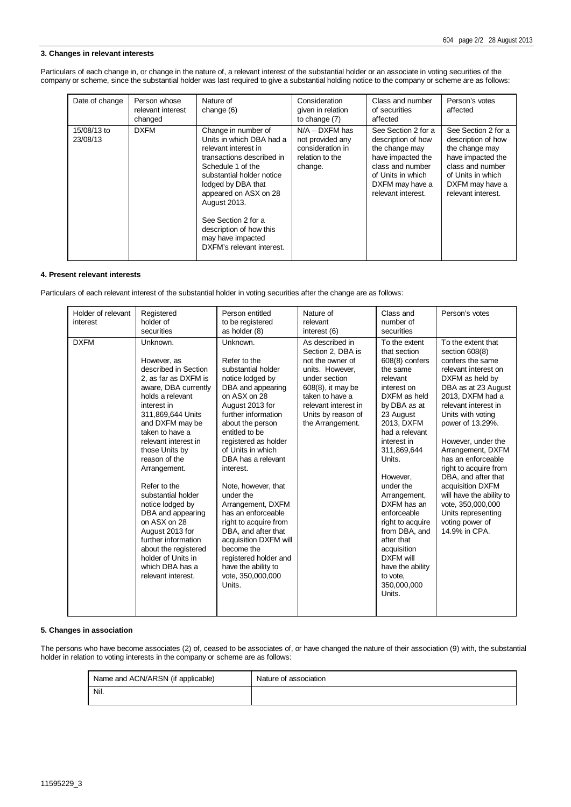#### **3. Changes in relevant interests**

Particulars of each change in, or change in the nature of, a relevant interest of the substantial holder or an associate in voting securities of the company or scheme, since the substantial holder was last required to give a substantial holding notice to the company or scheme are as follows:

| Date of change          | Person whose<br>relevant interest<br>changed | Nature of<br>change (6)                                                                                                                                                                                                                                                                                                   | Consideration<br>given in relation<br>to change (7)                                    | Class and number<br>of securities<br>affected                                                                                                                      | Person's votes<br>affected                                                                                                                                         |
|-------------------------|----------------------------------------------|---------------------------------------------------------------------------------------------------------------------------------------------------------------------------------------------------------------------------------------------------------------------------------------------------------------------------|----------------------------------------------------------------------------------------|--------------------------------------------------------------------------------------------------------------------------------------------------------------------|--------------------------------------------------------------------------------------------------------------------------------------------------------------------|
| 15/08/13 to<br>23/08/13 | <b>DXFM</b>                                  | Change in number of<br>Units in which DBA had a<br>relevant interest in<br>transactions described in<br>Schedule 1 of the<br>substantial holder notice<br>lodged by DBA that<br>appeared on ASX on 28<br>August 2013.<br>See Section 2 for a<br>description of how this<br>may have impacted<br>DXFM's relevant interest. | $N/A - DXFM$ has<br>not provided any<br>consideration in<br>relation to the<br>change. | See Section 2 for a<br>description of how<br>the change may<br>have impacted the<br>class and number<br>of Units in which<br>DXFM may have a<br>relevant interest. | See Section 2 for a<br>description of how<br>the change may<br>have impacted the<br>class and number<br>of Units in which<br>DXFM may have a<br>relevant interest. |

#### **4. Present relevant interests**

Particulars of each relevant interest of the substantial holder in voting securities after the change are as follows:

| Holder of relevant<br>interest | Registered<br>holder of<br>securities                                                                                                                                                                                                                                                                                                                                                                                                                                                                    | Person entitled<br>to be registered<br>as holder (8)                                                                                                                                                                                                                                                                                                                                                                                                                                                                         | Nature of<br>relevant<br>interest (6)                                                                                                                                                                  | Class and<br>number of<br>securities                                                                                                                                                                                                                                                                                                                                                                                                | Person's votes                                                                                                                                                                                                                                                                                                                                                                                                                                                  |
|--------------------------------|----------------------------------------------------------------------------------------------------------------------------------------------------------------------------------------------------------------------------------------------------------------------------------------------------------------------------------------------------------------------------------------------------------------------------------------------------------------------------------------------------------|------------------------------------------------------------------------------------------------------------------------------------------------------------------------------------------------------------------------------------------------------------------------------------------------------------------------------------------------------------------------------------------------------------------------------------------------------------------------------------------------------------------------------|--------------------------------------------------------------------------------------------------------------------------------------------------------------------------------------------------------|-------------------------------------------------------------------------------------------------------------------------------------------------------------------------------------------------------------------------------------------------------------------------------------------------------------------------------------------------------------------------------------------------------------------------------------|-----------------------------------------------------------------------------------------------------------------------------------------------------------------------------------------------------------------------------------------------------------------------------------------------------------------------------------------------------------------------------------------------------------------------------------------------------------------|
| <b>DXFM</b>                    | Unknown.<br>However, as<br>described in Section<br>2, as far as DXFM is<br>aware, DBA currently<br>holds a relevant<br>interest in<br>311,869,644 Units<br>and DXFM may be<br>taken to have a<br>relevant interest in<br>those Units by<br>reason of the<br>Arrangement.<br>Refer to the<br>substantial holder<br>notice lodged by<br>DBA and appearing<br>on ASX on 28<br>August 2013 for<br>further information<br>about the registered<br>holder of Units in<br>which DBA has a<br>relevant interest. | Unknown.<br>Refer to the<br>substantial holder<br>notice lodged by<br>DBA and appearing<br>on ASX on 28<br>August 2013 for<br>further information<br>about the person<br>entitled to be<br>registered as holder<br>of Units in which<br>DBA has a relevant<br>interest.<br>Note, however, that<br>under the<br>Arrangement, DXFM<br>has an enforceable<br>right to acquire from<br>DBA, and after that<br>acquisition DXFM will<br>become the<br>registered holder and<br>have the ability to<br>vote, 350,000,000<br>Units. | As described in<br>Section 2, DBA is<br>not the owner of<br>units. However,<br>under section<br>608(8), it may be<br>taken to have a<br>relevant interest in<br>Units by reason of<br>the Arrangement. | To the extent<br>that section<br>$608(8)$ confers<br>the same<br>relevant<br>interest on<br>DXFM as held<br>by DBA as at<br>23 August<br>2013, DXFM<br>had a relevant<br>interest in<br>311,869,644<br>Units.<br>However.<br>under the<br>Arrangement,<br>DXFM has an<br>enforceable<br>right to acquire<br>from DBA, and<br>after that<br>acquisition<br><b>DXFM will</b><br>have the ability<br>to vote,<br>350,000,000<br>Units. | To the extent that<br>section 608(8)<br>confers the same<br>relevant interest on<br>DXFM as held by<br>DBA as at 23 August<br>2013, DXFM had a<br>relevant interest in<br>Units with voting<br>power of 13.29%.<br>However, under the<br>Arrangement, DXFM<br>has an enforceable<br>right to acquire from<br>DBA, and after that<br>acquisition DXFM<br>will have the ability to<br>vote, 350,000,000<br>Units representing<br>voting power of<br>14.9% in CPA. |

#### **5. Changes in association**

The persons who have become associates (2) of, ceased to be associates of, or have changed the nature of their association (9) with, the substantial holder in relation to voting interests in the company or scheme are as follows:

| Name and ACN/ARSN (if applicable) | Nature of association |
|-----------------------------------|-----------------------|
| Nil.                              |                       |